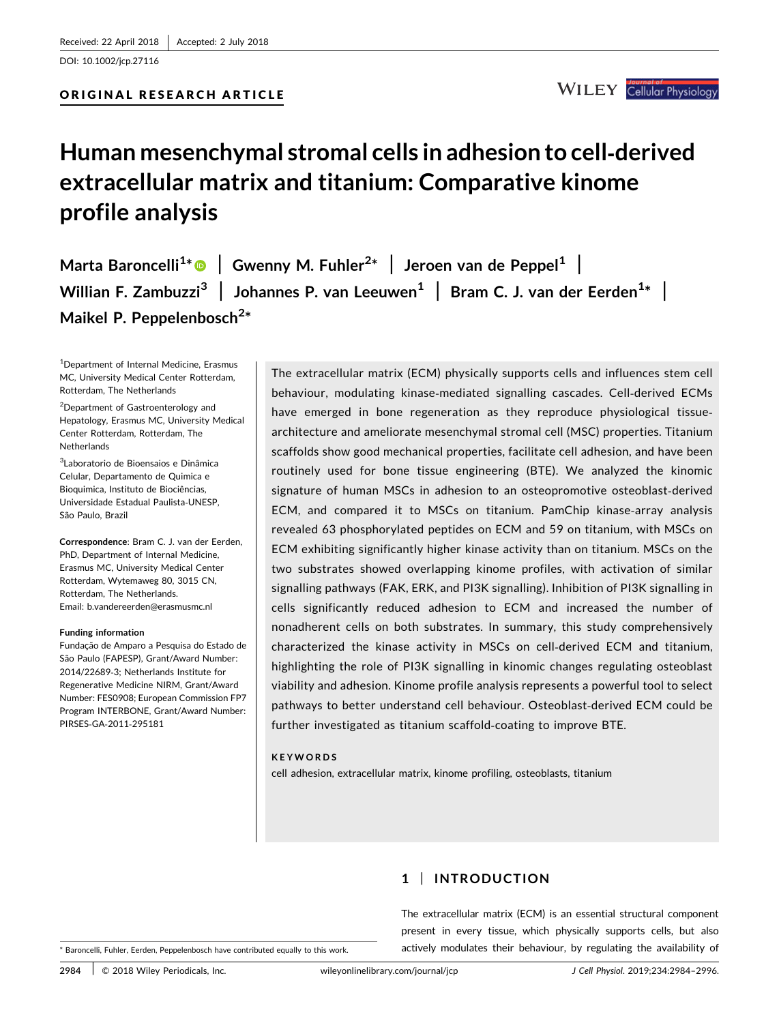DOI: 10.1002/jcp.27116



## Human mesenchymal stromal cells in adhesion to cell‐derived extracellular matrix and titanium: Comparative kinome profile analysis

Marta Baroncelli<sup>1[\\*](http://orcid.org/0000-0002-3723-5538)</sup>  $\bullet$  | Gwenny M. Fuhler<sup>2\*</sup> | Jeroen van de Peppel<sup>1</sup> | Willian F. Zambuzzi $^3\,$   $\,$  Johannes P. van Leeuwen $^1\,$   $\, \vert\,$  Bram C. J. van der Eerden $^{1*}\,$   $\, \vert\,$ Maikel P. Peppelenbosch<sup>2\*</sup>

1 Department of Internal Medicine, Erasmus MC, University Medical Center Rotterdam, Rotterdam, The Netherlands

<sup>2</sup>Department of Gastroenterology and Hepatology, Erasmus MC, University Medical Center Rotterdam, Rotterdam, The Netherlands

3 Laboratorio de Bioensaios e Dinâmica Celular, Departamento de Quimica e Bioquimica, Instituto de Biociências, Universidade Estadual Paulista‐UNESP, São Paulo, Brazil

Correspondence: Bram C. J. van der Eerden, PhD, Department of Internal Medicine, Erasmus MC, University Medical Center Rotterdam, Wytemaweg 80, 3015 CN, Rotterdam, The Netherlands. Email: b.vandereerden@erasmusmc.nl

#### Funding information

Fundação de Amparo a Pesquisa do Estado de São Paulo (FAPESP), Grant/Award Number: 2014/22689‐3; Netherlands Institute for Regenerative Medicine NIRM, Grant/Award Number: FES0908; European Commission FP7 Program INTERBONE, Grant/Award Number: PIRSES‐GA‐2011‐295181

The extracellular matrix (ECM) physically supports cells and influences stem cell behaviour, modulating kinase‐mediated signalling cascades. Cell‐derived ECMs have emerged in bone regeneration as they reproduce physiological tissuearchitecture and ameliorate mesenchymal stromal cell (MSC) properties. Titanium scaffolds show good mechanical properties, facilitate cell adhesion, and have been routinely used for bone tissue engineering (BTE). We analyzed the kinomic signature of human MSCs in adhesion to an osteopromotive osteoblast-derived ECM, and compared it to MSCs on titanium. PamChip kinase‐array analysis revealed 63 phosphorylated peptides on ECM and 59 on titanium, with MSCs on ECM exhibiting significantly higher kinase activity than on titanium. MSCs on the two substrates showed overlapping kinome profiles, with activation of similar signalling pathways (FAK, ERK, and PI3K signalling). Inhibition of PI3K signalling in cells significantly reduced adhesion to ECM and increased the number of nonadherent cells on both substrates. In summary, this study comprehensively characterized the kinase activity in MSCs on cell‐derived ECM and titanium, highlighting the role of PI3K signalling in kinomic changes regulating osteoblast viability and adhesion. Kinome profile analysis represents a powerful tool to select pathways to better understand cell behaviour. Osteoblast‐derived ECM could be further investigated as titanium scaffold‐coating to improve BTE.

#### KEYWORDS

cell adhesion, extracellular matrix, kinome profiling, osteoblasts, titanium

## 1 | INTRODUCTION

The extracellular matrix (ECM) is an essential structural component present in every tissue, which physically supports cells, but also actively modulates their behaviour, by regulating the availability of

\* Baroncelli, Fuhler, Eerden, Peppelenbosch have contributed equally to this work.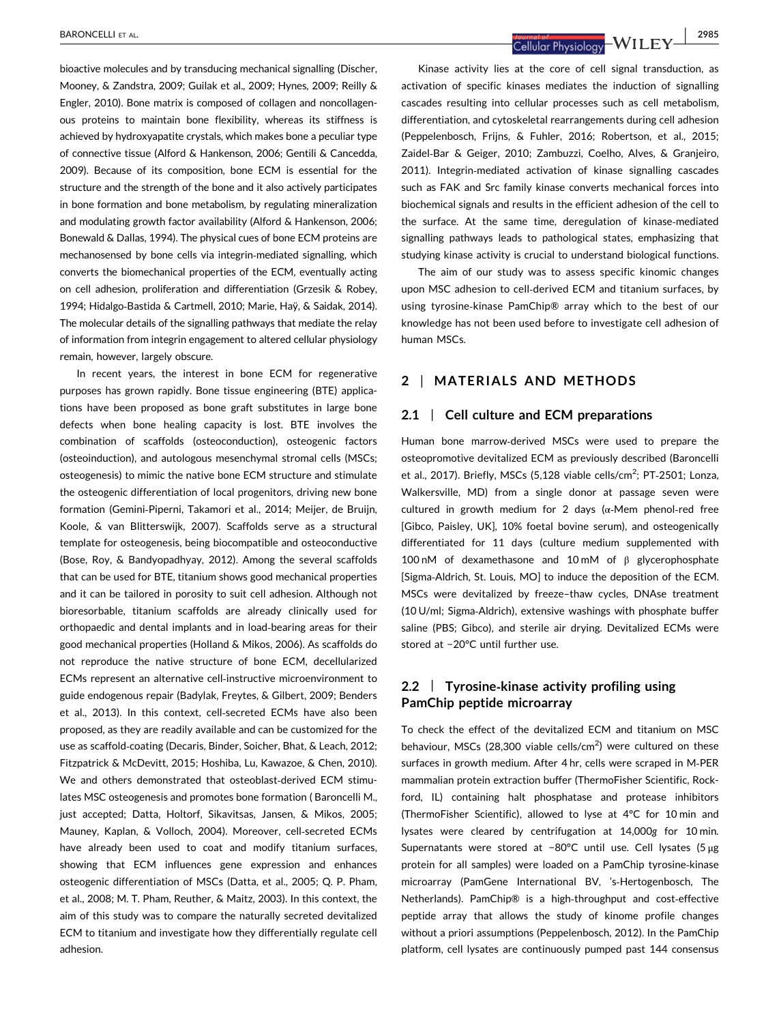bioactive molecules and by transducing mechanical signalling (Discher, Mooney, & Zandstra, 2009; Guilak et al., 2009; Hynes, 2009; Reilly & Engler, 2010). Bone matrix is composed of collagen and noncollagenous proteins to maintain bone flexibility, whereas its stiffness is achieved by hydroxyapatite crystals, which makes bone a peculiar type of connective tissue (Alford & Hankenson, 2006; Gentili & Cancedda, 2009). Because of its composition, bone ECM is essential for the structure and the strength of the bone and it also actively participates in bone formation and bone metabolism, by regulating mineralization and modulating growth factor availability (Alford & Hankenson, 2006; Bonewald & Dallas, 1994). The physical cues of bone ECM proteins are mechanosensed by bone cells via integrin‐mediated signalling, which converts the biomechanical properties of the ECM, eventually acting on cell adhesion, proliferation and differentiation (Grzesik & Robey, 1994; Hidalgo‐Bastida & Cartmell, 2010; Marie, Haÿ, & Saidak, 2014). The molecular details of the signalling pathways that mediate the relay of information from integrin engagement to altered cellular physiology remain, however, largely obscure.

In recent years, the interest in bone ECM for regenerative purposes has grown rapidly. Bone tissue engineering (BTE) applications have been proposed as bone graft substitutes in large bone defects when bone healing capacity is lost. BTE involves the combination of scaffolds (osteoconduction), osteogenic factors (osteoinduction), and autologous mesenchymal stromal cells (MSCs; osteogenesis) to mimic the native bone ECM structure and stimulate the osteogenic differentiation of local progenitors, driving new bone formation (Gemini‐Piperni, Takamori et al., 2014; Meijer, de Bruijn, Koole, & van Blitterswijk, 2007). Scaffolds serve as a structural template for osteogenesis, being biocompatible and osteoconductive (Bose, Roy, & Bandyopadhyay, 2012). Among the several scaffolds that can be used for BTE, titanium shows good mechanical properties and it can be tailored in porosity to suit cell adhesion. Although not bioresorbable, titanium scaffolds are already clinically used for orthopaedic and dental implants and in load‐bearing areas for their good mechanical properties (Holland & Mikos, 2006). As scaffolds do not reproduce the native structure of bone ECM, decellularized ECMs represent an alternative cell‐instructive microenvironment to guide endogenous repair (Badylak, Freytes, & Gilbert, 2009; Benders et al., 2013). In this context, cell‐secreted ECMs have also been proposed, as they are readily available and can be customized for the use as scaffold‐coating (Decaris, Binder, Soicher, Bhat, & Leach, 2012; Fitzpatrick & McDevitt, 2015; Hoshiba, Lu, Kawazoe, & Chen, 2010). We and others demonstrated that osteoblast-derived ECM stimulates MSC osteogenesis and promotes bone formation ( Baroncelli M., just accepted; Datta, Holtorf, Sikavitsas, Jansen, & Mikos, 2005; Mauney, Kaplan, & Volloch, 2004). Moreover, cell‐secreted ECMs have already been used to coat and modify titanium surfaces, showing that ECM influences gene expression and enhances osteogenic differentiation of MSCs (Datta, et al., 2005; Q. P. Pham, et al., 2008; M. T. Pham, Reuther, & Maitz, 2003). In this context, the aim of this study was to compare the naturally secreted devitalized ECM to titanium and investigate how they differentially regulate cell adhesion.

BARONCELLI ET AL. | 2985

Kinase activity lies at the core of cell signal transduction, as activation of specific kinases mediates the induction of signalling cascades resulting into cellular processes such as cell metabolism, differentiation, and cytoskeletal rearrangements during cell adhesion (Peppelenbosch, Frijns, & Fuhler, 2016; Robertson, et al., 2015; Zaidel‐Bar & Geiger, 2010; Zambuzzi, Coelho, Alves, & Granjeiro, 2011). Integrin‐mediated activation of kinase signalling cascades such as FAK and Src family kinase converts mechanical forces into biochemical signals and results in the efficient adhesion of the cell to the surface. At the same time, deregulation of kinase-mediated signalling pathways leads to pathological states, emphasizing that studying kinase activity is crucial to understand biological functions.

The aim of our study was to assess specific kinomic changes upon MSC adhesion to cell-derived ECM and titanium surfaces, by using tyrosine‐kinase PamChip® array which to the best of our knowledge has not been used before to investigate cell adhesion of human MSCs.

## 2 | MATERIALS AND METHODS

## 2.1 | Cell culture and ECM preparations

Human bone marrow‐derived MSCs were used to prepare the osteopromotive devitalized ECM as previously described (Baroncelli et al., 2017). Briefly, MSCs (5,128 viable cells/cm<sup>2</sup>; PT-2501; Lonza, Walkersville, MD) from a single donor at passage seven were cultured in growth medium for 2 days (α‐Mem phenol‐red free [Gibco, Paisley, UK], 10% foetal bovine serum), and osteogenically differentiated for 11 days (culture medium supplemented with 100 nM of dexamethasone and 10 mM of β glycerophosphate [Sigma‐Aldrich, St. Louis, MO] to induce the deposition of the ECM. MSCs were devitalized by freeze–thaw cycles, DNAse treatment (10 U/ml; Sigma‐Aldrich), extensive washings with phosphate buffer saline (PBS; Gibco), and sterile air drying. Devitalized ECMs were stored at −20°C until further use.

## 2.2 | Tyrosine-kinase activity profiling using PamChip peptide microarray

To check the effect of the devitalized ECM and titanium on MSC behaviour, MSCs (28,300 viable cells/cm<sup>2</sup>) were cultured on these surfaces in growth medium. After 4 hr, cells were scraped in M‐PER mammalian protein extraction buffer (ThermoFisher Scientific, Rockford, IL) containing halt phosphatase and protease inhibitors (ThermoFisher Scientific), allowed to lyse at 4°C for 10 min and lysates were cleared by centrifugation at 14,000g for 10 min. Supernatants were stored at −80°C until use. Cell lysates (5 μg protein for all samples) were loaded on a PamChip tyrosine‐kinase microarray (PamGene International BV, 's‐Hertogenbosch, The Netherlands). PamChip® is a high‐throughput and cost‐effective peptide array that allows the study of kinome profile changes without a priori assumptions (Peppelenbosch, 2012). In the PamChip platform, cell lysates are continuously pumped past 144 consensus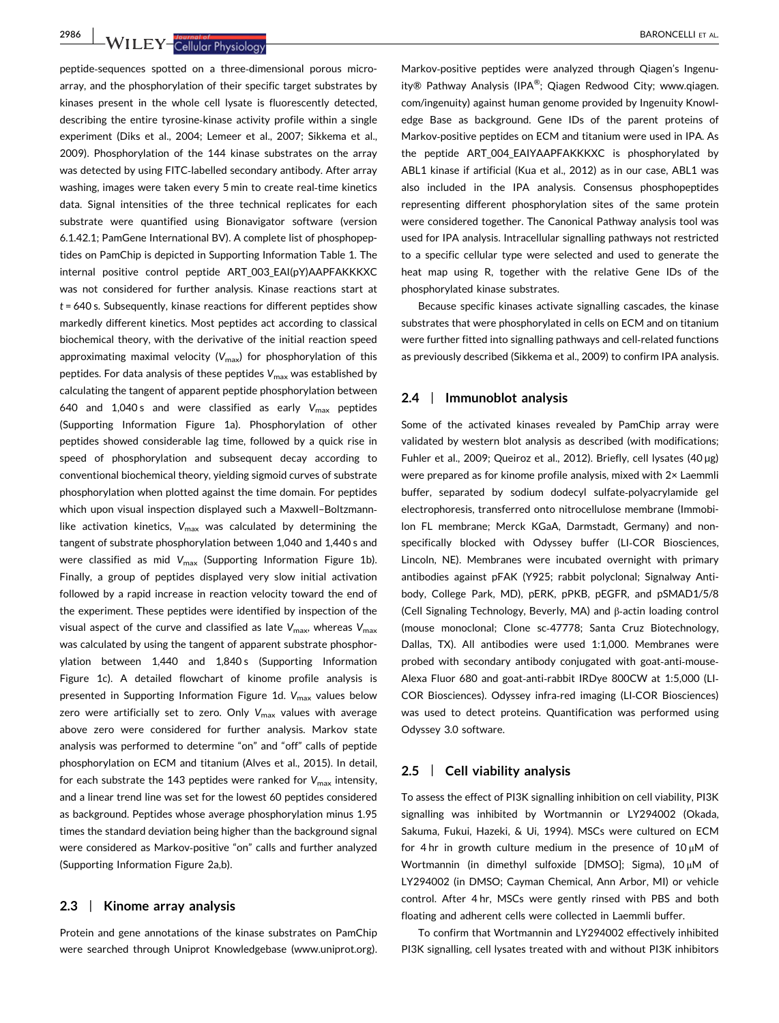peptide‐sequences spotted on a three‐dimensional porous microarray, and the phosphorylation of their specific target substrates by

kinases present in the whole cell lysate is fluorescently detected, describing the entire tyrosine‐kinase activity profile within a single experiment (Diks et al., 2004; Lemeer et al., 2007; Sikkema et al., 2009). Phosphorylation of the 144 kinase substrates on the array was detected by using FITC‐labelled secondary antibody. After array washing, images were taken every 5 min to create real-time kinetics data. Signal intensities of the three technical replicates for each substrate were quantified using Bionavigator software (version 6.1.42.1; PamGene International BV). A complete list of phosphopeptides on PamChip is depicted in Supporting Information Table 1. The internal positive control peptide ART\_003\_EAI(pY)AAPFAKKKXC was not considered for further analysis. Kinase reactions start at  $t = 640$  s. Subsequently, kinase reactions for different peptides show markedly different kinetics. Most peptides act according to classical biochemical theory, with the derivative of the initial reaction speed approximating maximal velocity  $(V_{\text{max}})$  for phosphorylation of this peptides. For data analysis of these peptides  $V_{\text{max}}$  was established by calculating the tangent of apparent peptide phosphorylation between 640 and 1,040 s and were classified as early  $V_{\text{max}}$  peptides (Supporting Information Figure 1a). Phosphorylation of other peptides showed considerable lag time, followed by a quick rise in speed of phosphorylation and subsequent decay according to conventional biochemical theory, yielding sigmoid curves of substrate phosphorylation when plotted against the time domain. For peptides which upon visual inspection displayed such a Maxwell–Boltzmann‐ like activation kinetics,  $V_{\text{max}}$  was calculated by determining the tangent of substrate phosphorylation between 1,040 and 1,440 s and were classified as mid  $V_{\text{max}}$  (Supporting Information Figure 1b). Finally, a group of peptides displayed very slow initial activation followed by a rapid increase in reaction velocity toward the end of the experiment. These peptides were identified by inspection of the visual aspect of the curve and classified as late  $V_{\text{max}}$ , whereas  $V_{\text{max}}$ was calculated by using the tangent of apparent substrate phosphorylation between 1,440 and 1,840s (Supporting Information Figure 1c). A detailed flowchart of kinome profile analysis is presented in Supporting Information Figure 1d.  $V_{\text{max}}$  values below zero were artificially set to zero. Only  $V_{\text{max}}$  values with average above zero were considered for further analysis. Markov state analysis was performed to determine "on" and "off" calls of peptide phosphorylation on ECM and titanium (Alves et al., 2015). In detail, for each substrate the 143 peptides were ranked for  $V_{\text{max}}$  intensity, and a linear trend line was set for the lowest 60 peptides considered as background. Peptides whose average phosphorylation minus 1.95 times the standard deviation being higher than the background signal were considered as Markov‐positive "on" calls and further analyzed (Supporting Information Figure 2a,b).

## 2.3 | Kinome array analysis

Protein and gene annotations of the kinase substrates on PamChip were searched through Uniprot Knowledgebase [\(www.uniprot.org](http://www.uniprot.org)). edge Base as background. Gene IDs of the parent proteins of Markov‐positive peptides on ECM and titanium were used in IPA. As the peptide ART\_004\_EAIYAAPFAKKKXC is phosphorylated by ABL1 kinase if artificial (Kua et al., 2012) as in our case, ABL1 was

were considered together. The Canonical Pathway analysis tool was used for IPA analysis. Intracellular signalling pathways not restricted to a specific cellular type were selected and used to generate the heat map using R, together with the relative Gene IDs of the phosphorylated kinase substrates. Because specific kinases activate signalling cascades, the kinase substrates that were phosphorylated in cells on ECM and on titanium were further fitted into signalling pathways and cell‐related functions

as previously described (Sikkema et al., 2009) to confirm IPA analysis.

representing different phosphorylation sites of the same protein

#### 2.4 | Immunoblot analysis

Some of the activated kinases revealed by PamChip array were validated by western blot analysis as described (with modifications; Fuhler et al., 2009; Queiroz et al., 2012). Briefly, cell lysates (40 µg) were prepared as for kinome profile analysis, mixed with 2× Laemmli buffer, separated by sodium dodecyl sulfate‐polyacrylamide gel electrophoresis, transferred onto nitrocellulose membrane (Immobilon FL membrane; Merck KGaA, Darmstadt, Germany) and nonspecifically blocked with Odyssey buffer (LI-COR Biosciences, Lincoln, NE). Membranes were incubated overnight with primary antibodies against pFAK (Y925; rabbit polyclonal; Signalway Antibody, College Park, MD), pERK, pPKB, pEGFR, and pSMAD1/5/8 (Cell Signaling Technology, Beverly, MA) and β‐actin loading control (mouse monoclonal; Clone sc‐47778; Santa Cruz Biotechnology, Dallas, TX). All antibodies were used 1:1,000. Membranes were probed with secondary antibody conjugated with goat-anti-mouse-Alexa Fluor 680 and goat‐anti‐rabbit IRDye 800CW at 1:5,000 (LI‐ COR Biosciences). Odyssey infra‐red imaging (LI‐COR Biosciences) was used to detect proteins. Quantification was performed using Odyssey 3.0 software.

## 2.5 | Cell viability analysis

To assess the effect of PI3K signalling inhibition on cell viability, PI3K signalling was inhibited by Wortmannin or LY294002 (Okada, Sakuma, Fukui, Hazeki, & Ui, 1994). MSCs were cultured on ECM for 4 hr in growth culture medium in the presence of 10 μM of Wortmannin (in dimethyl sulfoxide [DMSO]; Sigma), 10 μM of LY294002 (in DMSO; Cayman Chemical, Ann Arbor, MI) or vehicle control. After 4 hr, MSCs were gently rinsed with PBS and both floating and adherent cells were collected in Laemmli buffer.

To confirm that Wortmannin and LY294002 effectively inhibited PI3K signalling, cell lysates treated with and without PI3K inhibitors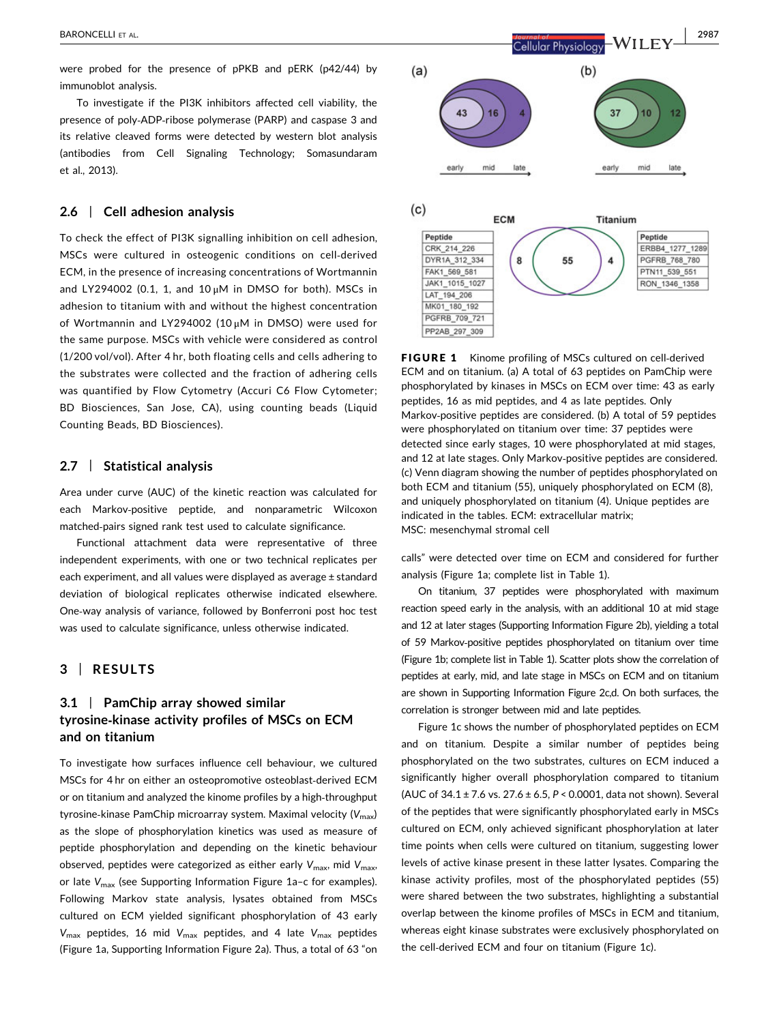were probed for the presence of pPKB and pERK (p42/44) by immunoblot analysis.

To investigate if the PI3K inhibitors affected cell viability, the presence of poly‐ADP‐ribose polymerase (PARP) and caspase 3 and its relative cleaved forms were detected by western blot analysis (antibodies from Cell Signaling Technology; Somasundaram et al., 2013).

## 2.6 | Cell adhesion analysis

To check the effect of PI3K signalling inhibition on cell adhesion, MSCs were cultured in osteogenic conditions on cell‐derived ECM, in the presence of increasing concentrations of Wortmannin and LY294002 (0.1, 1, and  $10 \mu$ M in DMSO for both). MSCs in adhesion to titanium with and without the highest concentration of Wortmannin and LY294002 (10 μM in DMSO) were used for the same purpose. MSCs with vehicle were considered as control (1/200 vol/vol). After 4 hr, both floating cells and cells adhering to the substrates were collected and the fraction of adhering cells was quantified by Flow Cytometry (Accuri C6 Flow Cytometer; BD Biosciences, San Jose, CA), using counting beads (Liquid Counting Beads, BD Biosciences).

## 2.7 | Statistical analysis

Area under curve (AUC) of the kinetic reaction was calculated for each Markov‐positive peptide, and nonparametric Wilcoxon matched‐pairs signed rank test used to calculate significance.

Functional attachment data were representative of three independent experiments, with one or two technical replicates per each experiment, and all values were displayed as average ± standard deviation of biological replicates otherwise indicated elsewhere. One‐way analysis of variance, followed by Bonferroni post hoc test was used to calculate significance, unless otherwise indicated.

## 3 | RESULTS

## 3.1 | PamChip array showed similar tyrosine‐kinase activity profiles of MSCs on ECM and on titanium

To investigate how surfaces influence cell behaviour, we cultured MSCs for 4 hr on either an osteopromotive osteoblast‐derived ECM or on titanium and analyzed the kinome profiles by a high‐throughput tyrosine-kinase PamChip microarray system. Maximal velocity  $(V_{\text{max}})$ as the slope of phosphorylation kinetics was used as measure of peptide phosphorylation and depending on the kinetic behaviour observed, peptides were categorized as either early  $V_{\text{max}}$ , mid  $V_{\text{max}}$ , or late  $V_{\text{max}}$  (see Supporting Information Figure 1a-c for examples). Following Markov state analysis, lysates obtained from MSCs cultured on ECM yielded significant phosphorylation of 43 early  $V_{\text{max}}$  peptides, 16 mid  $V_{\text{max}}$  peptides, and 4 late  $V_{\text{max}}$  peptides (Figure 1a, Supporting Information Figure 2a). Thus, a total of 63 "on



FIGURE 1 Kinome profiling of MSCs cultured on cell-derived ECM and on titanium. (a) A total of 63 peptides on PamChip were phosphorylated by kinases in MSCs on ECM over time: 43 as early peptides, 16 as mid peptides, and 4 as late peptides. Only Markov-positive peptides are considered. (b) A total of 59 peptides were phosphorylated on titanium over time: 37 peptides were detected since early stages, 10 were phosphorylated at mid stages, and 12 at late stages. Only Markov‐positive peptides are considered. (c) Venn diagram showing the number of peptides phosphorylated on both ECM and titanium (55), uniquely phosphorylated on ECM (8), and uniquely phosphorylated on titanium (4). Unique peptides are indicated in the tables. ECM: extracellular matrix; MSC: mesenchymal stromal cell

calls" were detected over time on ECM and considered for further analysis (Figure 1a; complete list in Table 1).

On titanium, 37 peptides were phosphorylated with maximum reaction speed early in the analysis, with an additional 10 at mid stage and 12 at later stages (Supporting Information Figure 2b), yielding a total of 59 Markov‐positive peptides phosphorylated on titanium over time (Figure 1b; complete list in Table 1). Scatter plots show the correlation of peptides at early, mid, and late stage in MSCs on ECM and on titanium are shown in Supporting Information Figure 2c,d. On both surfaces, the correlation is stronger between mid and late peptides.

Figure 1c shows the number of phosphorylated peptides on ECM and on titanium. Despite a similar number of peptides being phosphorylated on the two substrates, cultures on ECM induced a significantly higher overall phosphorylation compared to titanium (AUC of  $34.1 \pm 7.6$  vs.  $27.6 \pm 6.5$ ,  $P < 0.0001$ , data not shown). Several of the peptides that were significantly phosphorylated early in MSCs cultured on ECM, only achieved significant phosphorylation at later time points when cells were cultured on titanium, suggesting lower levels of active kinase present in these latter lysates. Comparing the kinase activity profiles, most of the phosphorylated peptides (55) were shared between the two substrates, highlighting a substantial overlap between the kinome profiles of MSCs in ECM and titanium, whereas eight kinase substrates were exclusively phosphorylated on the cell-derived ECM and four on titanium (Figure 1c).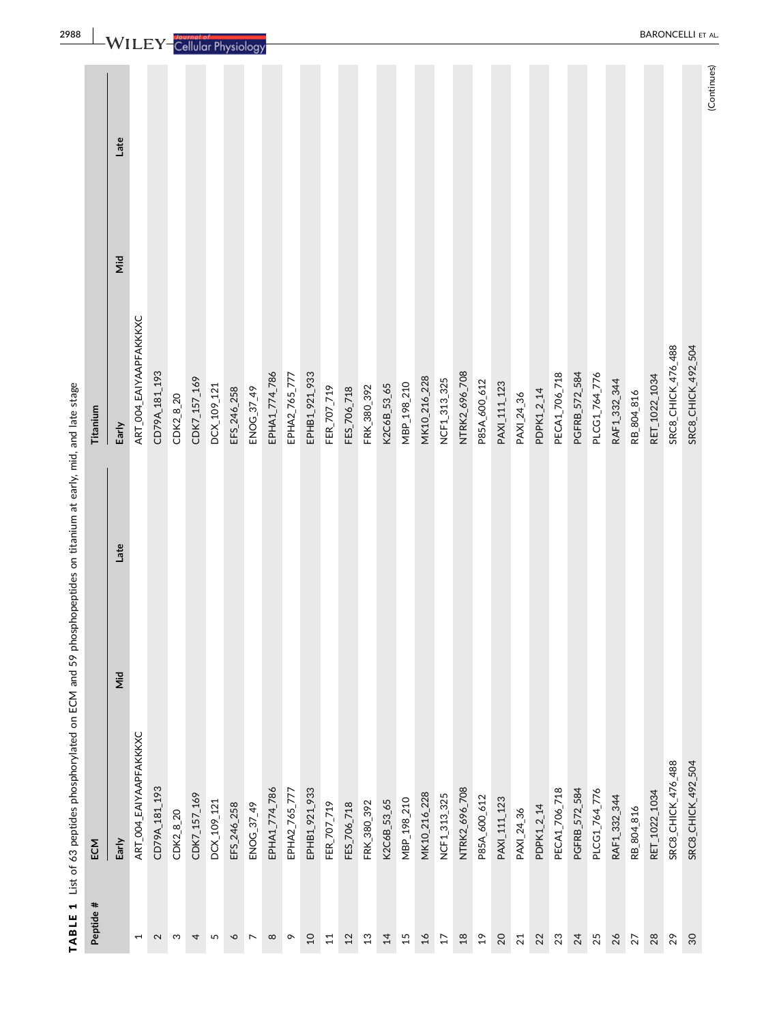| TABLE 1            | List of 63 peptides phosphorylated on ECM and 59 ph |             | osphopeptides on titanium at early, mid, and late stage |             |
|--------------------|-----------------------------------------------------|-------------|---------------------------------------------------------|-------------|
| Peptide #          | ECM                                                 |             | Titanium                                                |             |
|                    | Early                                               | Late<br>ΣÎΝ | Early                                                   | Late<br>Nid |
| $\overline{ }$     | ART_004_EAIYAAPFAKKKXC                              |             | ART_004_EAIYAAPFAKKKXC                                  |             |
| $\mathbf 2$        | CD79A_181_193                                       |             | CD79A_181_193                                           |             |
| S                  | CDK2_8_20                                           |             | CDK2_8_20                                               |             |
| 4                  | CDK7_157_169                                        |             | CDK7_157_169                                            |             |
| 5                  | DCX_109_121                                         |             | DCX_109_121                                             |             |
| $\mathbf{\hat{o}}$ | EFS_246_258                                         |             | EFS_246_258                                             |             |
| $\overline{ }$     | ENOG_37_49                                          |             | ENOG_37_49                                              |             |
| $\infty$           | EPHA1_774_786                                       |             | EPHA1_774_786                                           |             |
| $\sim$             | EPHA2_765_777                                       |             | EPHA2_765_777                                           |             |
| $\overline{c}$     | EPHB1_921_933                                       |             | EPHB1_921_933                                           |             |
| $\overline{11}$    | FER_707_719                                         |             | FER_707_719                                             |             |
| $12$               | FES_706_718                                         |             | FES_706_718                                             |             |
| $13$               | FRK_380_392                                         |             | FRK_380_392                                             |             |
| 14                 | K2C6B_53_65                                         |             | K2C6B_53_65                                             |             |
| 15                 | MBP_198_210                                         |             | MBP_198_210                                             |             |
| $\overline{16}$    | MK10_216_228                                        |             | MK10_216_228                                            |             |
| $\overline{17}$    | NCF1_313_325                                        |             | NCF1_313_325                                            |             |
| $18$               | NTRK2_696_708                                       |             | NTRK2_696_708                                           |             |
| $^{9}$             | P85A_600_612                                        |             | P85A_600_612                                            |             |
| 20                 | PAXI_111_123                                        |             | PAXI_111_123                                            |             |
| 21                 | PAXI_24_36                                          |             | PAXI_24_36                                              |             |
| 22                 | PDPK1_2_14                                          |             | PDPK1_2_14                                              |             |
| 23                 | PECA1_706_718                                       |             | PECA1_706_718                                           |             |
| 24                 | PGFRB_572_584                                       |             | PGFRB_572_584                                           |             |
| 25                 | PLCG1_764_776                                       |             | PLCG1_764_776                                           |             |
| 26                 | RAF1_332_344                                        |             | RAF1_332_344                                            |             |
| 27                 | RB_804_816                                          |             | RB_804_816                                              |             |
| 28                 | RET_1022_1034                                       |             | RET_1022_1034                                           |             |
| 29                 | SRC8_CHICK_476_488                                  |             | SRC8_CHICK_476_488                                      |             |
| 30                 | SRC8_CHICK_492_504                                  |             | SRC8_CHICK_492_504                                      |             |
|                    |                                                     |             |                                                         | (Continues) |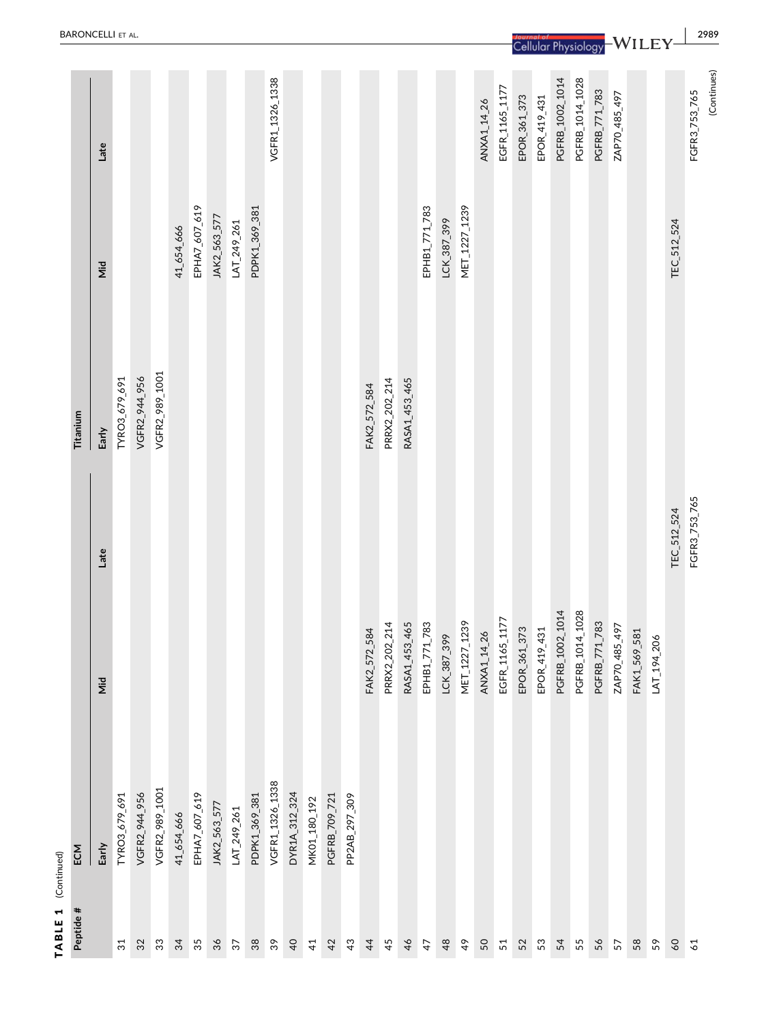| Peptide #       | ECM             |                   |               | Titanium       |               |                 |
|-----------------|-----------------|-------------------|---------------|----------------|---------------|-----------------|
|                 | Early           | Nid               | Late          | Early          | Nid           | Late            |
| $\overline{3}1$ | TYRO3_679_691   |                   |               | TYRO3_679_691  |               |                 |
| 32              | VGFR2_944_956   |                   |               | VGFR2_944_956  |               |                 |
| $33\,$          | VGFR2_989_1001  |                   |               | VGFR2_989_1001 |               |                 |
| 34              | 41_654_666      |                   |               |                | 41_654_666    |                 |
| 35              | EPHA7_607_619   |                   |               |                | EPHA7_607_619 |                 |
| 36              | JAK2_563_577    |                   |               |                | JAK2_563_577  |                 |
| 37              | LAT_249_261     |                   |               |                | LAT_249_261   |                 |
| 38              | PDPK1_369_381   |                   |               |                | PDPK1_369_381 |                 |
| $39\,$          | VGFR1_1326_1338 |                   |               |                |               | VGFR1_1326_1338 |
| $\overline{a}$  | DYR1A_312_324   |                   |               |                |               |                 |
| $\overline{4}$  | MK01_180_192    |                   |               |                |               |                 |
| 42              | PGFRB_709_721   |                   |               |                |               |                 |
| 43              | PP2AB_297_309   |                   |               |                |               |                 |
| $\frac{4}{4}$   |                 | FAK2_572_584      |               | FAK2_572_584   |               |                 |
| 45              |                 | PRRX2_202_214     |               | PRRX2_202_214  |               |                 |
| 46              |                 | RASA1_453_465     |               | RASA1_453_465  |               |                 |
| 47              |                 | 71_783<br>EPHB1_7 |               |                | EPHB1_771_783 |                 |
| 48              |                 | LCK_387_399       |               |                | LCK_387_399   |                 |
| $\frac{4}{9}$   |                 | MET_1227_1239     |               |                | MET_1227_1239 |                 |
| 50              |                 | ANXA1_14_26       |               |                |               | ANXA1_14_26     |
| 51              |                 | EGFR_1165_1177    |               |                |               | EGFR_1165_1177  |
| 52              |                 | EPOR_361_373      |               |                |               | EPOR_361_373    |
| 53              |                 | EPOR_419_431      |               |                |               | EPOR_419_431    |
| 54              |                 | PGFRB_1002_1014   |               |                |               | PGFRB_1002_1014 |
| 55              |                 | PGFRB_1014_1028   |               |                |               | PGFRB_1014_1028 |
| 56              |                 | PGFRB_771_783     |               |                |               | PGFRB_771_783   |
| 57              |                 | ZAP70_485_497     |               |                |               | ZAP70_485_497   |
| 58              |                 | FAK1_569_581      |               |                |               |                 |
| 59              |                 | LAT_194_206       |               |                |               |                 |
| 60              |                 |                   | TEC_512_524   |                | TEC_512_524   |                 |
| 61              |                 |                   | FGFR3_753_765 |                |               | FGFR3_753_765   |
|                 |                 |                   |               |                |               | (Continues)     |

TABLE 1 (Continued)

TABLE 1 (Continued)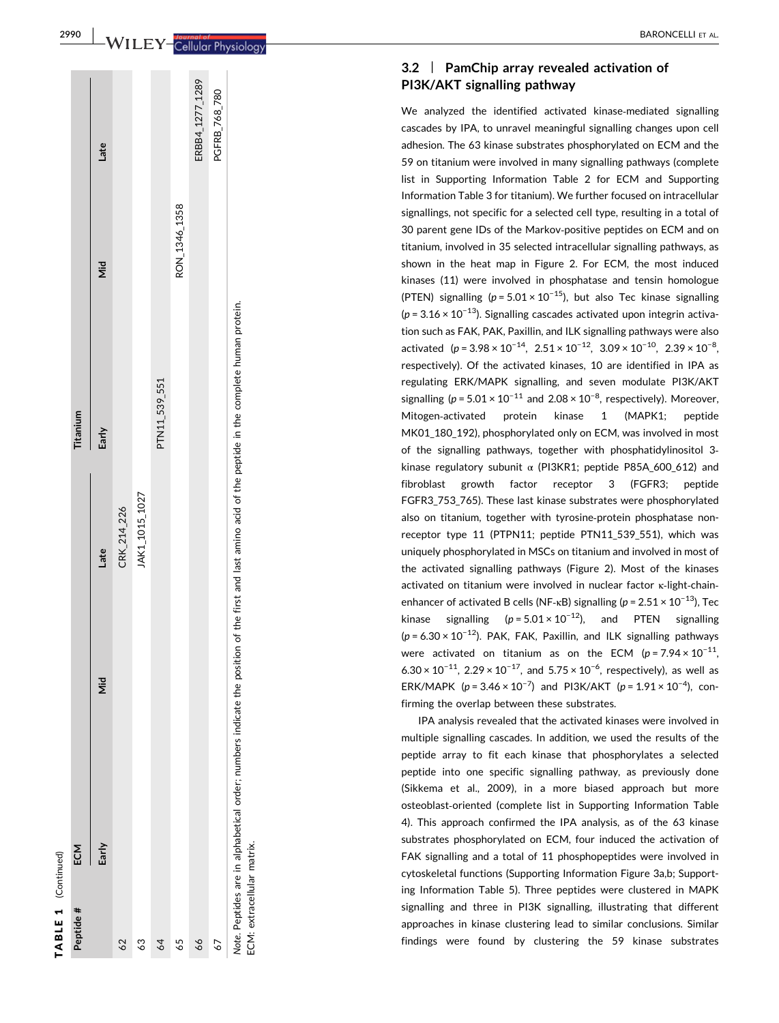# TABLE 1 (Continued) TABLE 1 (Continued)

| Peptide #                  | ECM                                                                                                                                                    |    |                | Titanium      |               |                 |
|----------------------------|--------------------------------------------------------------------------------------------------------------------------------------------------------|----|----------------|---------------|---------------|-----------------|
|                            | Early                                                                                                                                                  | ιã | Late           | Early         | id<br>Nid     | Late            |
| 62                         |                                                                                                                                                        |    | CRK_214_226    |               |               |                 |
| \$                         |                                                                                                                                                        |    | JAK1_1015_1027 |               |               |                 |
| 64                         |                                                                                                                                                        |    |                | PTN11_539_551 |               |                 |
| 65                         |                                                                                                                                                        |    |                |               | RON_1346_1358 |                 |
| $\delta$                   |                                                                                                                                                        |    |                |               |               | ERBB4_1277_1289 |
| 67                         |                                                                                                                                                        |    |                |               |               | PGFRB_768_780   |
| ECM: extracellular matrix. | Note. Peptides are in alphabetical order; numbers indicate the position of the first and last amino acid of the peptide in the complete human protein. |    |                |               |               |                 |

2990

#### $3.2$ | PamChip array revealed activation of PI3K/AKT signalling pathway

We analyzed the identified activated kinase ‐mediated signalling cascades by IPA, to unravel meaningful signalling changes upon cell adhesion. The 63 kinase substrates phosphorylated on ECM and the 59 on titanium were involved in many signalling pathways (complete list in Supporting Information Table 2 for ECM and Supporting Information Table 3 for titanium). We further focused on intracellular signallings, not specific for a selected cell type, resulting in a total of 30 parent gene IDs of the Markov ‐positive peptides on ECM and on titanium, involved in 35 selected intracellular signalling pathways, as shown in the heat map in Figure 2. For ECM, the most induced kinases (11) were involved in phosphatase and tensin homologue (PTEN) signalling ( $p = 5.01 \times 10^{-15}$ ), but also Tec kinase signalling  $(p = 3.16 \times 10^{-13})$ . Signalling cascades activated upon integrin activation such as FAK, PAK, Paxillin, and ILK signalling pathways were also activated  $(p = 3.98 \times 10^{-14}, 2.51 \times 10^{-12}, 3.09 \times 10^{-10}, 2.39 \times 10^{-8},$ respectively). Of the activated kinases, 10 are identified in IPA as regulating ERK/MAPK signalling, and seven modulate PI3K/AKT signalling ( $p = 5.01 \times 10^{-11}$  and  $2.08 \times 10^{-8}$ , respectively). Moreover, Mitogen ‐activated protein kinase 1 (MAPK1; peptide MK01\_180\_192), phosphorylated only on ECM, was involved in most of the signalling pathways, together with phosphatidylinositol 3 ‐ kinase regulatory subunit α (PI3KR1; peptide P85A\_600\_612) and fibroblast growth factor receptor 3 (FGFR3; peptide FGFR3\_753\_765). These last kinase substrates were phosphorylated also on titanium, together with tyrosine ‐protein phosphatase nonreceptor type 11 (PTPN11; peptide PTN11 539 551), which was uniquely phosphorylated in MSCs on titanium and involved in most of the activated signalling pathways (Figure 2). Most of the kinases activated on titanium were involved in nuclear factor κ-light-chainenhancer of activated B cells (NF- $\kappa$ B) signalling ( $p = 2.51 \times 10^{-13}$ ), Tec kinase signalling ( $p = 5.01 \times 10^{-12}$ ), and PTEN signalling  $(p = 6.30 \times 10^{-12})$ . PAK, FAK, Paxillin, and ILK signalling pathways were activated on titanium as on the ECM  $(p = 7.94 \times 10^{-11})$ 6.30  $\times$  10<sup>-11</sup>, 2.29  $\times$  10<sup>-17</sup>, and 5.75  $\times$  10<sup>-6</sup>, respectively), as well as ERK/MAPK ( $p = 3.46 \times 10^{-7}$ ) and PI3K/AKT ( $p = 1.91 \times 10^{-4}$ ), confirming the overlap between these substrates.

IPA analysis revealed that the activated kinases were involved in multiple signalling cascades. In addition, we used the results of the peptide array to fit each kinase that phosphorylates a selected peptide into one specific signalling pathway, as previously done (Sikkema et al., 2009), in a more biased approach but more osteoblast ‐oriented (complete list in Supporting Information Table 4). This approach confirmed the IPA analysis, as of the 63 kinase substrates phosphorylated on ECM, four induced the activation of FAK signalling and a total of 11 phosphopeptides were involved in cytoskeletal functions (Supporting Information Figure 3a,b; Supporting Information Table 5). Three peptides were clustered in MAPK signalling and three in PI3K signalling, illustrating that different approaches in kinase clustering lead to similar conclusions. Similar findings were found by clustering the 59 kinase substrates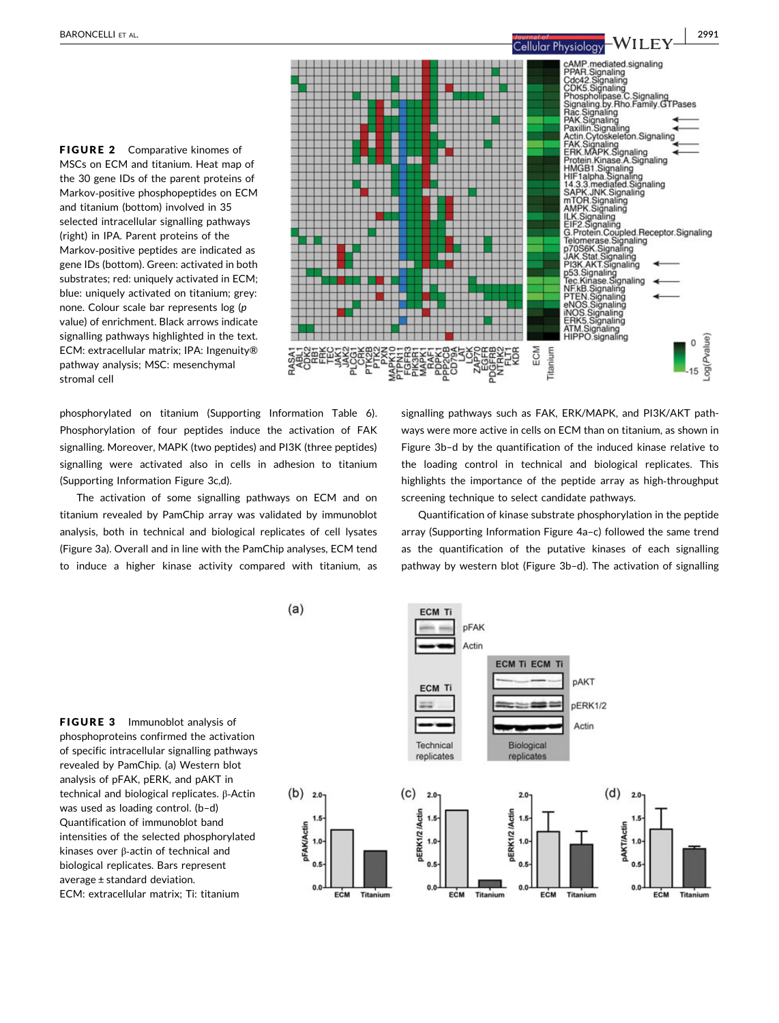FIGURE 2 Comparative kinomes of MSCs on ECM and titanium. Heat map of the 30 gene IDs of the parent proteins of Markov‐positive phosphopeptides on ECM and titanium (bottom) involved in 35 selected intracellular signalling pathways (right) in IPA. Parent proteins of the Markov‐positive peptides are indicated as gene IDs (bottom). Green: activated in both substrates; red: uniquely activated in ECM; blue: uniquely activated on titanium; grey: none. Colour scale bar represents log (p value) of enrichment. Black arrows indicate signalling pathways highlighted in the text. ECM: extracellular matrix; IPA: Ingenuity® pathway analysis; MSC: mesenchymal stromal cell

phosphorylated on titanium (Supporting Information Table 6). Phosphorylation of four peptides induce the activation of FAK signalling. Moreover, MAPK (two peptides) and PI3K (three peptides) signalling were activated also in cells in adhesion to titanium (Supporting Information Figure 3c,d).

The activation of some signalling pathways on ECM and on titanium revealed by PamChip array was validated by immunoblot analysis, both in technical and biological replicates of cell lysates (Figure 3a). Overall and in line with the PamChip analyses, ECM tend to induce a higher kinase activity compared with titanium, as

signalling pathways such as FAK, ERK/MAPK, and PI3K/AKT pathways were more active in cells on ECM than on titanium, as shown in Figure 3b–d by the quantification of the induced kinase relative to the loading control in technical and biological replicates. This highlights the importance of the peptide array as high-throughput screening technique to select candidate pathways.

Quantification of kinase substrate phosphorylation in the peptide array (Supporting Information Figure 4a–c) followed the same trend as the quantification of the putative kinases of each signalling pathway by western blot (Figure 3b–d). The activation of signalling





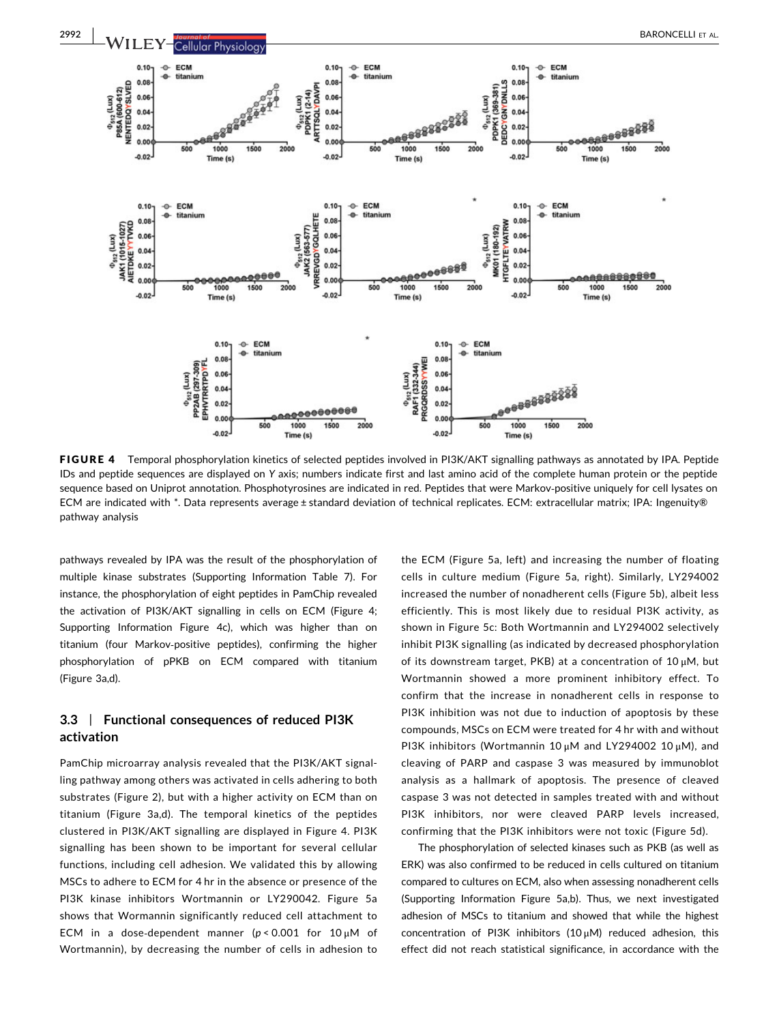

FIGURE 4 Temporal phosphorylation kinetics of selected peptides involved in PI3K/AKT signalling pathways as annotated by IPA. Peptide IDs and peptide sequences are displayed on Y axis; numbers indicate first and last amino acid of the complete human protein or the peptide sequence based on Uniprot annotation. Phosphotyrosines are indicated in red. Peptides that were Markov-positive uniquely for cell lysates on ECM are indicated with \*. Data represents average ± standard deviation of technical replicates. ECM: extracellular matrix; IPA: Ingenuity® pathway analysis

pathways revealed by IPA was the result of the phosphorylation of multiple kinase substrates (Supporting Information Table 7). For instance, the phosphorylation of eight peptides in PamChip revealed the activation of PI3K/AKT signalling in cells on ECM (Figure 4; Supporting Information Figure 4c), which was higher than on titanium (four Markov‐positive peptides), confirming the higher phosphorylation of pPKB on ECM compared with titanium (Figure 3a,d).

## 3.3 | Functional consequences of reduced PI3K activation

PamChip microarray analysis revealed that the PI3K/AKT signalling pathway among others was activated in cells adhering to both substrates (Figure 2), but with a higher activity on ECM than on titanium (Figure 3a,d). The temporal kinetics of the peptides clustered in PI3K/AKT signalling are displayed in Figure 4. PI3K signalling has been shown to be important for several cellular functions, including cell adhesion. We validated this by allowing MSCs to adhere to ECM for 4 hr in the absence or presence of the PI3K kinase inhibitors Wortmannin or LY290042. Figure 5a shows that Wormannin significantly reduced cell attachment to ECM in a dose-dependent manner ( $p < 0.001$  for  $10 \mu$ M of Wortmannin), by decreasing the number of cells in adhesion to

the ECM (Figure 5a, left) and increasing the number of floating cells in culture medium (Figure 5a, right). Similarly, LY294002 increased the number of nonadherent cells (Figure 5b), albeit less efficiently. This is most likely due to residual PI3K activity, as shown in Figure 5c: Both Wortmannin and LY294002 selectively inhibit PI3K signalling (as indicated by decreased phosphorylation of its downstream target, PKB) at a concentration of 10 μM, but Wortmannin showed a more prominent inhibitory effect. To confirm that the increase in nonadherent cells in response to PI3K inhibition was not due to induction of apoptosis by these compounds, MSCs on ECM were treated for 4 hr with and without PI3K inhibitors (Wortmannin 10 μM and LY294002 10 μM), and cleaving of PARP and caspase 3 was measured by immunoblot analysis as a hallmark of apoptosis. The presence of cleaved caspase 3 was not detected in samples treated with and without PI3K inhibitors, nor were cleaved PARP levels increased, confirming that the PI3K inhibitors were not toxic (Figure 5d).

The phosphorylation of selected kinases such as PKB (as well as ERK) was also confirmed to be reduced in cells cultured on titanium compared to cultures on ECM, also when assessing nonadherent cells (Supporting Information Figure 5a,b). Thus, we next investigated adhesion of MSCs to titanium and showed that while the highest concentration of PI3K inhibitors  $(10 \mu M)$  reduced adhesion, this effect did not reach statistical significance, in accordance with the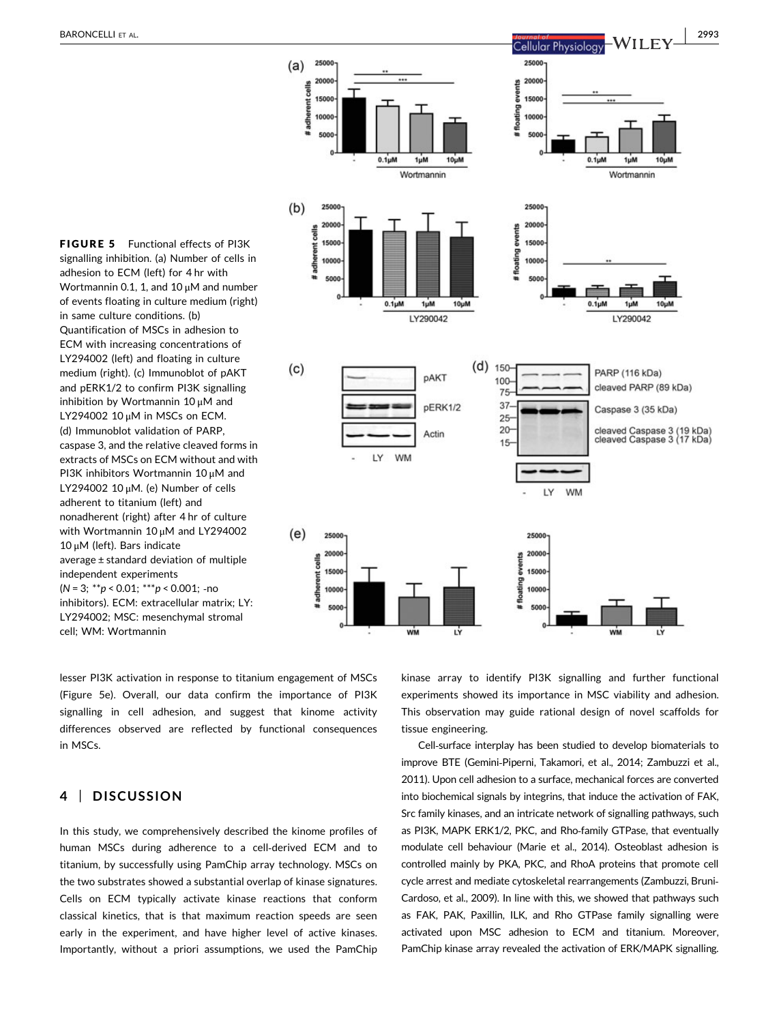

adhesion to ECM (left) for 4 hr with Wortmannin 0.1, 1, and 10 μM and number of events floating in culture medium (right) in same culture conditions. (b) Quantification of MSCs in adhesion to ECM with increasing concentrations of LY294002 (left) and floating in culture medium (right). (c) Immunoblot of pAKT and pERK1/2 to confirm PI3K signalling inhibition by Wortmannin 10 μM and LY294002 10 μM in MSCs on ECM. (d) Immunoblot validation of PARP, caspase 3, and the relative cleaved forms in extracts of MSCs on ECM without and with PI3K inhibitors Wortmannin 10 μM and LY294002 10 μM. (e) Number of cells adherent to titanium (left) and nonadherent (right) after 4 hr of culture with Wortmannin 10 μM and LY294002 10 μM (left). Bars indicate average ± standard deviation of multiple independent experiments  $(N = 3; **p < 0.01; **p < 0.001;$ -no inhibitors). ECM: extracellular matrix; LY: LY294002; MSC: mesenchymal stromal cell; WM: Wortmannin

FIGURE 5 Functional effects of PI3K signalling inhibition. (a) Number of cells in

lesser PI3K activation in response to titanium engagement of MSCs (Figure 5e). Overall, our data confirm the importance of PI3K signalling in cell adhesion, and suggest that kinome activity differences observed are reflected by functional consequences in MSCs.

## 4 | DISCUSSION

In this study, we comprehensively described the kinome profiles of human MSCs during adherence to a cell-derived ECM and to titanium, by successfully using PamChip array technology. MSCs on the two substrates showed a substantial overlap of kinase signatures. Cells on ECM typically activate kinase reactions that conform classical kinetics, that is that maximum reaction speeds are seen early in the experiment, and have higher level of active kinases. Importantly, without a priori assumptions, we used the PamChip

kinase array to identify PI3K signalling and further functional experiments showed its importance in MSC viability and adhesion. This observation may guide rational design of novel scaffolds for tissue engineering.

Cell‐surface interplay has been studied to develop biomaterials to improve BTE (Gemini‐Piperni, Takamori, et al., 2014; Zambuzzi et al., 2011). Upon cell adhesion to a surface, mechanical forces are converted into biochemical signals by integrins, that induce the activation of FAK, Src family kinases, and an intricate network of signalling pathways, such as PI3K, MAPK ERK1/2, PKC, and Rho‐family GTPase, that eventually modulate cell behaviour (Marie et al., 2014). Osteoblast adhesion is controlled mainly by PKA, PKC, and RhoA proteins that promote cell cycle arrest and mediate cytoskeletal rearrangements (Zambuzzi, Bruni‐ Cardoso, et al., 2009). In line with this, we showed that pathways such as FAK, PAK, Paxillin, ILK, and Rho GTPase family signalling were activated upon MSC adhesion to ECM and titanium. Moreover, PamChip kinase array revealed the activation of ERK/MAPK signalling.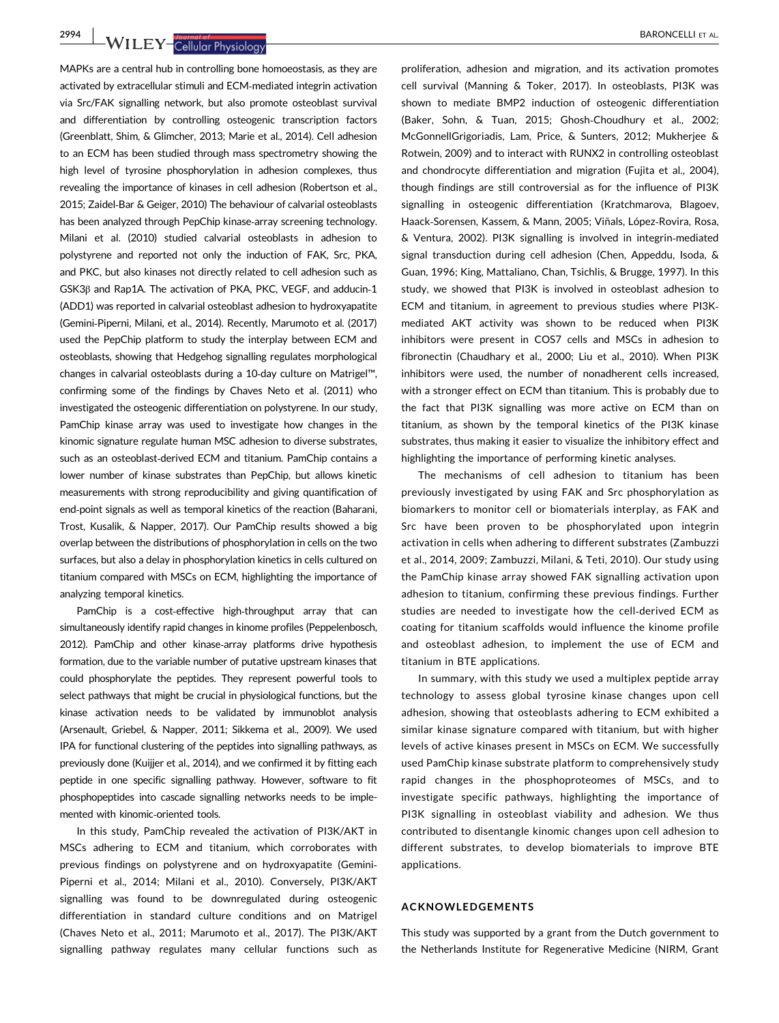**2994 NVILEY-Cellular Physiology BARONCELLI ET AL.** 

MAPKs are a central hub in controlling bone homoeostasis, as they are activated by extracellular stimuli and ECM‐mediated integrin activation via Src/FAK signalling network, but also promote osteoblast survival and differentiation by controlling osteogenic transcription factors (Greenblatt, Shim, & Glimcher, 2013; Marie et al., 2014). Cell adhesion to an ECM has been studied through mass spectrometry showing the high level of tyrosine phosphorylation in adhesion complexes, thus revealing the importance of kinases in cell adhesion (Robertson et al., 2015; Zaidel‐Bar & Geiger, 2010) The behaviour of calvarial osteoblasts has been analyzed through PepChip kinase‐array screening technology. Milani et al. (2010) studied calvarial osteoblasts in adhesion to polystyrene and reported not only the induction of FAK, Src, PKA, and PKC, but also kinases not directly related to cell adhesion such as GSK3β and Rap1A. The activation of PKA, PKC, VEGF, and adducin‐1 (ADD1) was reported in calvarial osteoblast adhesion to hydroxyapatite (Gemini‐Piperni, Milani, et al., 2014). Recently, Marumoto et al. (2017) used the PepChip platform to study the interplay between ECM and osteoblasts, showing that Hedgehog signalling regulates morphological changes in calvarial osteoblasts during a 10‐day culture on Matrigel™, confirming some of the findings by Chaves Neto et al. (2011) who investigated the osteogenic differentiation on polystyrene. In our study, PamChip kinase array was used to investigate how changes in the kinomic signature regulate human MSC adhesion to diverse substrates, such as an osteoblast-derived ECM and titanium. PamChip contains a lower number of kinase substrates than PepChip, but allows kinetic measurements with strong reproducibility and giving quantification of end‐point signals as well as temporal kinetics of the reaction (Baharani, Trost, Kusalik, & Napper, 2017). Our PamChip results showed a big overlap between the distributions of phosphorylation in cells on the two surfaces, but also a delay in phosphorylation kinetics in cells cultured on titanium compared with MSCs on ECM, highlighting the importance of analyzing temporal kinetics.

PamChip is a cost-effective high-throughput array that can simultaneously identify rapid changes in kinome profiles (Peppelenbosch, 2012). PamChip and other kinase‐array platforms drive hypothesis formation, due to the variable number of putative upstream kinases that could phosphorylate the peptides. They represent powerful tools to select pathways that might be crucial in physiological functions, but the kinase activation needs to be validated by immunoblot analysis (Arsenault, Griebel, & Napper, 2011; Sikkema et al., 2009). We used IPA for functional clustering of the peptides into signalling pathways, as previously done (Kuijjer et al., 2014), and we confirmed it by fitting each peptide in one specific signalling pathway. However, software to fit phosphopeptides into cascade signalling networks needs to be implemented with kinomic‐oriented tools.

In this study, PamChip revealed the activation of PI3K/AKT in MSCs adhering to ECM and titanium, which corroborates with previous findings on polystyrene and on hydroxyapatite (Gemini‐ Piperni et al., 2014; Milani et al., 2010). Conversely, PI3K/AKT signalling was found to be downregulated during osteogenic differentiation in standard culture conditions and on Matrigel (Chaves Neto et al., 2011; Marumoto et al., 2017). The PI3K/AKT signalling pathway regulates many cellular functions such as

proliferation, adhesion and migration, and its activation promotes cell survival (Manning & Toker, 2017). In osteoblasts, PI3K was shown to mediate BMP2 induction of osteogenic differentiation (Baker, Sohn, & Tuan, 2015; Ghosh‐Choudhury et al., 2002; McGonnellGrigoriadis, Lam, Price, & Sunters, 2012; Mukherjee & Rotwein, 2009) and to interact with RUNX2 in controlling osteoblast and chondrocyte differentiation and migration (Fujita et al., 2004), though findings are still controversial as for the influence of PI3K signalling in osteogenic differentiation (Kratchmarova, Blagoev, Haack‐Sorensen, Kassem, & Mann, 2005; Viñals, López‐Rovira, Rosa, & Ventura, 2002). PI3K signalling is involved in integrin‐mediated signal transduction during cell adhesion (Chen, Appeddu, Isoda, & Guan, 1996; King, Mattaliano, Chan, Tsichlis, & Brugge, 1997). In this study, we showed that PI3K is involved in osteoblast adhesion to ECM and titanium, in agreement to previous studies where PI3K‐ mediated AKT activity was shown to be reduced when PI3K inhibitors were present in COS7 cells and MSCs in adhesion to fibronectin (Chaudhary et al., 2000; Liu et al., 2010). When PI3K inhibitors were used, the number of nonadherent cells increased, with a stronger effect on ECM than titanium. This is probably due to the fact that PI3K signalling was more active on ECM than on titanium, as shown by the temporal kinetics of the PI3K kinase substrates, thus making it easier to visualize the inhibitory effect and highlighting the importance of performing kinetic analyses.

The mechanisms of cell adhesion to titanium has been previously investigated by using FAK and Src phosphorylation as biomarkers to monitor cell or biomaterials interplay, as FAK and Src have been proven to be phosphorylated upon integrin activation in cells when adhering to different substrates (Zambuzzi et al., 2014, 2009; Zambuzzi, Milani, & Teti, 2010). Our study using the PamChip kinase array showed FAK signalling activation upon adhesion to titanium, confirming these previous findings. Further studies are needed to investigate how the cell-derived ECM as coating for titanium scaffolds would influence the kinome profile and osteoblast adhesion, to implement the use of ECM and titanium in BTE applications.

In summary, with this study we used a multiplex peptide array technology to assess global tyrosine kinase changes upon cell adhesion, showing that osteoblasts adhering to ECM exhibited a similar kinase signature compared with titanium, but with higher levels of active kinases present in MSCs on ECM. We successfully used PamChip kinase substrate platform to comprehensively study rapid changes in the phosphoproteomes of MSCs, and to investigate specific pathways, highlighting the importance of PI3K signalling in osteoblast viability and adhesion. We thus contributed to disentangle kinomic changes upon cell adhesion to different substrates, to develop biomaterials to improve BTE applications.

#### ACKNOWLEDGEMENTS

This study was supported by a grant from the Dutch government to the Netherlands Institute for Regenerative Medicine (NIRM, Grant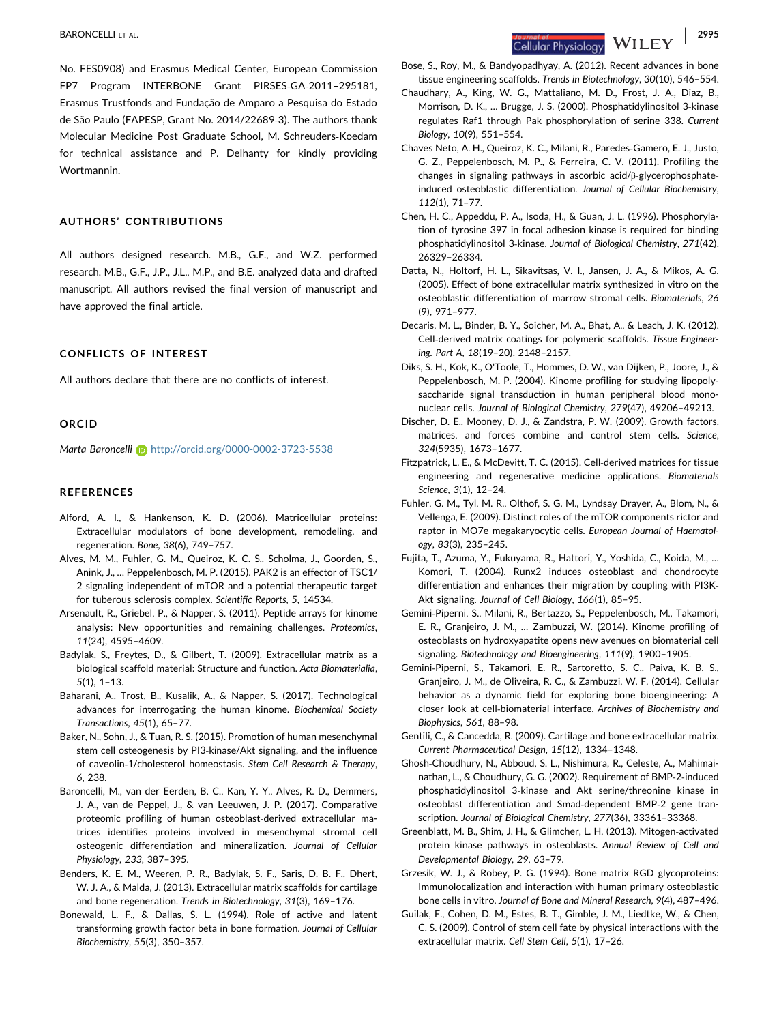No. FES0908) and Erasmus Medical Center, European Commission FP7 Program INTERBONE Grant PIRSES‐GA‐2011–295181, Erasmus Trustfonds and Fundação de Amparo a Pesquisa do Estado de São Paulo (FAPESP, Grant No. 2014/22689‐3). The authors thank Molecular Medicine Post Graduate School, M. Schreuders‐Koedam for technical assistance and P. Delhanty for kindly providing Wortmannin.

## AUTHORS' CONTRIBUTIONS

All authors designed research. M.B., G.F., and W.Z. performed research. M.B., G.F., J.P., J.L., M.P., and B.E. analyzed data and drafted manuscript. All authors revised the final version of manuscript and have approved the final article.

#### CONFLICTS OF INTEREST

All authors declare that there are no conflicts of interest.

#### ORCID

Marta Baroncelli i <http://orcid.org/0000-0002-3723-5538>

#### **REFERENCES**

- Alford, A. I., & Hankenson, K. D. (2006). Matricellular proteins: Extracellular modulators of bone development, remodeling, and regeneration. Bone, 38(6), 749–757.
- Alves, M. M., Fuhler, G. M., Queiroz, K. C. S., Scholma, J., Goorden, S., Anink, J., … Peppelenbosch, M. P. (2015). PAK2 is an effector of TSC1/ 2 signaling independent of mTOR and a potential therapeutic target for tuberous sclerosis complex. Scientific Reports, 5, 14534.
- Arsenault, R., Griebel, P., & Napper, S. (2011). Peptide arrays for kinome analysis: New opportunities and remaining challenges. Proteomics, 11(24), 4595–4609.
- Badylak, S., Freytes, D., & Gilbert, T. (2009). Extracellular matrix as a biological scaffold material: Structure and function. Acta Biomaterialia, 5(1), 1–13.
- Baharani, A., Trost, B., Kusalik, A., & Napper, S. (2017). Technological advances for interrogating the human kinome. Biochemical Society Transactions, 45(1), 65–77.
- Baker, N., Sohn, J., & Tuan, R. S. (2015). Promotion of human mesenchymal stem cell osteogenesis by PI3‐kinase/Akt signaling, and the influence of caveolin‐1/cholesterol homeostasis. Stem Cell Research & Therapy, 6, 238.
- Baroncelli, M., van der Eerden, B. C., Kan, Y. Y., Alves, R. D., Demmers, J. A., van de Peppel, J., & van Leeuwen, J. P. (2017). Comparative proteomic profiling of human osteoblast‐derived extracellular matrices identifies proteins involved in mesenchymal stromal cell osteogenic differentiation and mineralization. Journal of Cellular Physiology, 233, 387–395.
- Benders, K. E. M., Weeren, P. R., Badylak, S. F., Saris, D. B. F., Dhert, W. J. A., & Malda, J. (2013). Extracellular matrix scaffolds for cartilage and bone regeneration. Trends in Biotechnology, 31(3), 169–176.
- Bonewald, L. F., & Dallas, S. L. (1994). Role of active and latent transforming growth factor beta in bone formation. Journal of Cellular Biochemistry, 55(3), 350–357.

Bose, S., Roy, M., & Bandyopadhyay, A. (2012). Recent advances in bone tissue engineering scaffolds. Trends in Biotechnology, 30(10), 546–554.

- Chaudhary, A., King, W. G., Mattaliano, M. D., Frost, J. A., Diaz, B., Morrison, D. K., … Brugge, J. S. (2000). Phosphatidylinositol 3‐kinase regulates Raf1 through Pak phosphorylation of serine 338. Current Biology, 10(9), 551–554.
- Chaves Neto, A. H., Queiroz, K. C., Milani, R., Paredes‐Gamero, E. J., Justo, G. Z., Peppelenbosch, M. P., & Ferreira, C. V. (2011). Profiling the changes in signaling pathways in ascorbic acid/β‐glycerophosphate‐ induced osteoblastic differentiation. Journal of Cellular Biochemistry, 112(1), 71–77.
- Chen, H. C., Appeddu, P. A., Isoda, H., & Guan, J. L. (1996). Phosphorylation of tyrosine 397 in focal adhesion kinase is required for binding phosphatidylinositol 3‐kinase. Journal of Biological Chemistry, 271(42), 26329–26334.
- Datta, N., Holtorf, H. L., Sikavitsas, V. I., Jansen, J. A., & Mikos, A. G. (2005). Effect of bone extracellular matrix synthesized in vitro on the osteoblastic differentiation of marrow stromal cells. Biomaterials, 26 (9), 971–977.
- Decaris, M. L., Binder, B. Y., Soicher, M. A., Bhat, A., & Leach, J. K. (2012). Cell-derived matrix coatings for polymeric scaffolds. Tissue Engineering. Part A, 18(19–20), 2148–2157.
- Diks, S. H., Kok, K., O'Toole, T., Hommes, D. W., van Dijken, P., Joore, J., & Peppelenbosch, M. P. (2004). Kinome profiling for studying lipopolysaccharide signal transduction in human peripheral blood mononuclear cells. Journal of Biological Chemistry, 279(47), 49206–49213.
- Discher, D. E., Mooney, D. J., & Zandstra, P. W. (2009). Growth factors, matrices, and forces combine and control stem cells. Science, 324(5935), 1673–1677.
- Fitzpatrick, L. E., & McDevitt, T. C. (2015). Cell‐derived matrices for tissue engineering and regenerative medicine applications. Biomaterials Science, 3(1), 12–24.
- Fuhler, G. M., Tyl, M. R., Olthof, S. G. M., Lyndsay Drayer, A., Blom, N., & Vellenga, E. (2009). Distinct roles of the mTOR components rictor and raptor in MO7e megakaryocytic cells. European Journal of Haematology, 83(3), 235–245.
- Fujita, T., Azuma, Y., Fukuyama, R., Hattori, Y., Yoshida, C., Koida, M., … Komori, T. (2004). Runx2 induces osteoblast and chondrocyte differentiation and enhances their migration by coupling with PI3K‐ Akt signaling. Journal of Cell Biology, 166(1), 85–95.
- Gemini‐Piperni, S., Milani, R., Bertazzo, S., Peppelenbosch, M., Takamori, E. R., Granjeiro, J. M., … Zambuzzi, W. (2014). Kinome profiling of osteoblasts on hydroxyapatite opens new avenues on biomaterial cell signaling. Biotechnology and Bioengineering, 111(9), 1900–1905.
- Gemini‐Piperni, S., Takamori, E. R., Sartoretto, S. C., Paiva, K. B. S., Granjeiro, J. M., de Oliveira, R. C., & Zambuzzi, W. F. (2014). Cellular behavior as a dynamic field for exploring bone bioengineering: A closer look at cell‐biomaterial interface. Archives of Biochemistry and Biophysics, 561, 88–98.
- Gentili, C., & Cancedda, R. (2009). Cartilage and bone extracellular matrix. Current Pharmaceutical Design, 15(12), 1334–1348.
- Ghosh‐Choudhury, N., Abboud, S. L., Nishimura, R., Celeste, A., Mahimainathan, L., & Choudhury, G. G. (2002). Requirement of BMP‐2‐induced phosphatidylinositol 3‐kinase and Akt serine/threonine kinase in osteoblast differentiation and Smad‐dependent BMP‐2 gene transcription. Journal of Biological Chemistry, 277(36), 33361–33368.
- Greenblatt, M. B., Shim, J. H., & Glimcher, L. H. (2013). Mitogen‐activated protein kinase pathways in osteoblasts. Annual Review of Cell and Developmental Biology, 29, 63–79.
- Grzesik, W. J., & Robey, P. G. (1994). Bone matrix RGD glycoproteins: Immunolocalization and interaction with human primary osteoblastic bone cells in vitro. Journal of Bone and Mineral Research, 9(4), 487–496.
- Guilak, F., Cohen, D. M., Estes, B. T., Gimble, J. M., Liedtke, W., & Chen, C. S. (2009). Control of stem cell fate by physical interactions with the extracellular matrix. Cell Stem Cell, 5(1), 17–26.